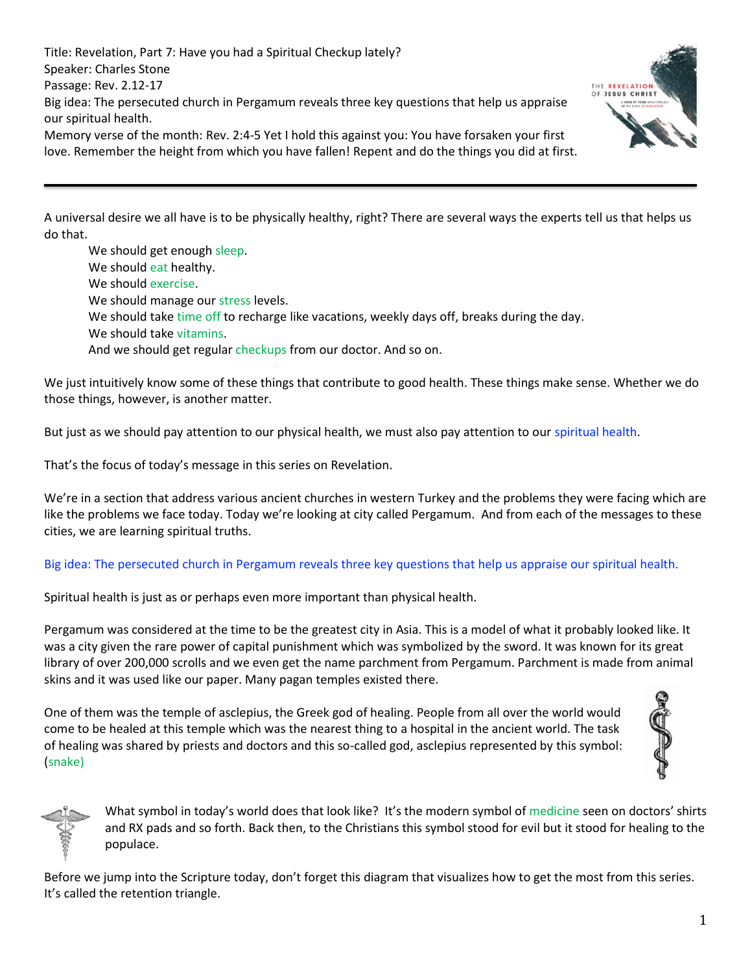Title: Revelation, Part 7: Have you had a Spiritual Checkup lately? Speaker: Charles Stone Passage: Rev. 2.12-17 Big idea: The persecuted church in Pergamum reveals three key questions that help us appraise our spiritual health.

Memory verse of the month: Rev. 2:4-5 Yet I hold this against you: You have forsaken your first love. Remember the height from which you have fallen! Repent and do the things you did at first.

THE REVELATION OF JESUS CHRIST

A universal desire we all have is to be physically healthy, right? There are several ways the experts tell us that helps us do that.

We should get enough sleep. We should eat healthy. We should exercise. We should manage our stress levels. We should take time off to recharge like vacations, weekly days off, breaks during the day. We should take vitamins. And we should get regular checkups from our doctor. And so on.

We just intuitively know some of these things that contribute to good health. These things make sense. Whether we do those things, however, is another matter.

But just as we should pay attention to our physical health, we must also pay attention to our spiritual health.

That's the focus of today's message in this series on Revelation.

We're in a section that address various ancient churches in western Turkey and the problems they were facing which are like the problems we face today. Today we're looking at city called Pergamum. And from each of the messages to these cities, we are learning spiritual truths.

## Big idea: The persecuted church in Pergamum reveals three key questions that help us appraise our spiritual health.

Spiritual health is just as or perhaps even more important than physical health.

Pergamum was considered at the time to be the greatest city in Asia. This is a model of what it probably looked like. It was a city given the rare power of capital punishment which was symbolized by the sword. It was known for its great library of over 200,000 scrolls and we even get the name parchment from Pergamum. Parchment is made from animal skins and it was used like our paper. Many pagan temples existed there.

One of them was the temple of asclepius, the Greek god of healing. People from all over the world would come to be healed at this temple which was the nearest thing to a hospital in the ancient world. The task of healing was shared by priests and doctors and this so-called god, asclepius represented by this symbol: (snake)





What symbol in today's world does that look like? It's the modern symbol of medicine seen on doctors' shirts and RX pads and so forth. Back then, to the Christians this symbol stood for evil but it stood for healing to the populace.

Before we jump into the Scripture today, don't forget this diagram that visualizes how to get the most from this series. It's called the retention triangle.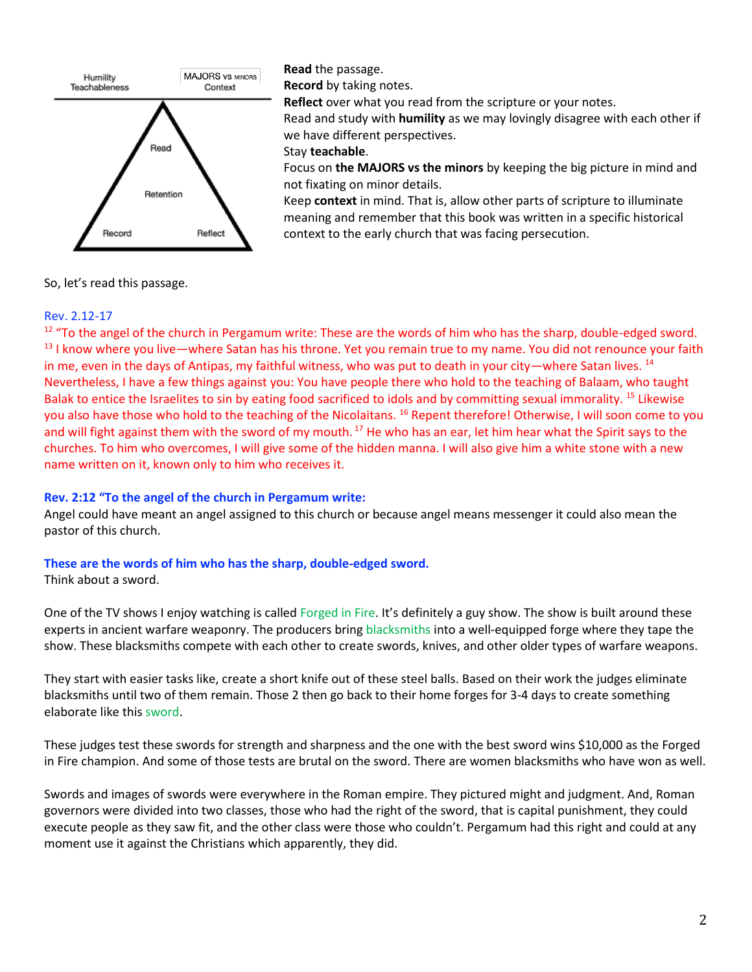

**Read** the passage.

**Record** by taking notes.

**Reflect** over what you read from the scripture or your notes.

Read and study with **humility** as we may lovingly disagree with each other if we have different perspectives.

## Stay **teachable**.

Focus on **the MAJORS vs the minors** by keeping the big picture in mind and not fixating on minor details.

Keep **context** in mind. That is, allow other parts of scripture to illuminate meaning and remember that this book was written in a specific historical context to the early church that was facing persecution.

So, let's read this passage.

## Rev. 2.12-17

 $12$  "To the angel of the church in Pergamum write: These are the words of him who has the sharp, double-edged sword. <sup>13</sup> I know where you live—where Satan has his throne. Yet you remain true to my name. You did not renounce your faith in me, even in the days of Antipas, my faithful witness, who was put to death in your city—where Satan lives.  $^{14}$ Nevertheless, I have a few things against you: You have people there who hold to the teaching of Balaam, who taught Balak to entice the Israelites to sin by eating food sacrificed to idols and by committing sexual immorality. <sup>15</sup> Likewise you also have those who hold to the teaching of the Nicolaitans. <sup>16</sup> Repent therefore! Otherwise, I will soon come to you and will fight against them with the sword of my mouth.<sup>17</sup> He who has an ear, let him hear what the Spirit says to the churches. To him who overcomes, I will give some of the hidden manna. I will also give him a white stone with a new name written on it, known only to him who receives it.

## **Rev. 2:12 "To the angel of the church in Pergamum write:**

Angel could have meant an angel assigned to this church or because angel means messenger it could also mean the pastor of this church.

## **These are the words of him who has the sharp, double-edged sword.**

Think about a sword.

One of the TV shows I enjoy watching is called Forged in Fire. It's definitely a guy show. The show is built around these experts in ancient warfare weaponry. The producers bring blacksmiths into a well-equipped forge where they tape the show. These blacksmiths compete with each other to create swords, knives, and other older types of warfare weapons.

They start with easier tasks like, create a short knife out of these steel balls. Based on their work the judges eliminate blacksmiths until two of them remain. Those 2 then go back to their home forges for 3-4 days to create something elaborate like this sword.

These judges test these swords for strength and sharpness and the one with the best sword wins \$10,000 as the Forged in Fire champion. And some of those tests are brutal on the sword. There are women blacksmiths who have won as well.

Swords and images of swords were everywhere in the Roman empire. They pictured might and judgment. And, Roman governors were divided into two classes, those who had the right of the sword, that is capital punishment, they could execute people as they saw fit, and the other class were those who couldn't. Pergamum had this right and could at any moment use it against the Christians which apparently, they did.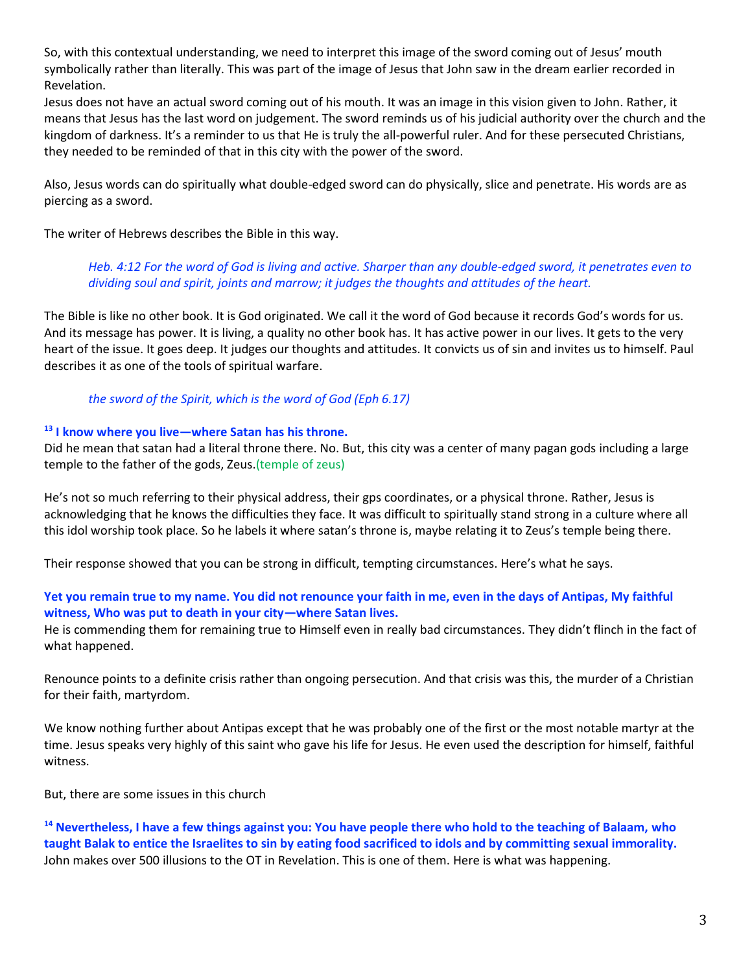So, with this contextual understanding, we need to interpret this image of the sword coming out of Jesus' mouth symbolically rather than literally. This was part of the image of Jesus that John saw in the dream earlier recorded in Revelation.

Jesus does not have an actual sword coming out of his mouth. It was an image in this vision given to John. Rather, it means that Jesus has the last word on judgement. The sword reminds us of his judicial authority over the church and the kingdom of darkness. It's a reminder to us that He is truly the all-powerful ruler. And for these persecuted Christians, they needed to be reminded of that in this city with the power of the sword.

Also, Jesus words can do spiritually what double-edged sword can do physically, slice and penetrate. His words are as piercing as a sword.

The writer of Hebrews describes the Bible in this way.

*Heb. 4:12 For the word of God is living and active. Sharper than any double-edged sword, it penetrates even to dividing soul and spirit, joints and marrow; it judges the thoughts and attitudes of the heart.*

The Bible is like no other book. It is God originated. We call it the word of God because it records God's words for us. And its message has power. It is living, a quality no other book has. It has active power in our lives. It gets to the very heart of the issue. It goes deep. It judges our thoughts and attitudes. It convicts us of sin and invites us to himself. Paul describes it as one of the tools of spiritual warfare.

## *the sword of the Spirit, which is the word of God (Eph 6.17)*

#### **<sup>13</sup> I know where you live—where Satan has his throne.**

Did he mean that satan had a literal throne there. No. But, this city was a center of many pagan gods including a large temple to the father of the gods, Zeus.(temple of zeus)

He's not so much referring to their physical address, their gps coordinates, or a physical throne. Rather, Jesus is acknowledging that he knows the difficulties they face. It was difficult to spiritually stand strong in a culture where all this idol worship took place. So he labels it where satan's throne is, maybe relating it to Zeus's temple being there.

Their response showed that you can be strong in difficult, tempting circumstances. Here's what he says.

## **Yet you remain true to my name. You did not renounce your faith in me, even in the days of Antipas, My faithful witness, Who was put to death in your city—where Satan lives.**

He is commending them for remaining true to Himself even in really bad circumstances. They didn't flinch in the fact of what happened.

Renounce points to a definite crisis rather than ongoing persecution. And that crisis was this, the murder of a Christian for their faith, martyrdom.

We know nothing further about Antipas except that he was probably one of the first or the most notable martyr at the time. Jesus speaks very highly of this saint who gave his life for Jesus. He even used the description for himself, faithful witness.

But, there are some issues in this church

**<sup>14</sup> Nevertheless, I have a few things against you: You have people there who hold to the teaching of Balaam, who taught Balak to entice the Israelites to sin by eating food sacrificed to idols and by committing sexual immorality.**  John makes over 500 illusions to the OT in Revelation. This is one of them. Here is what was happening.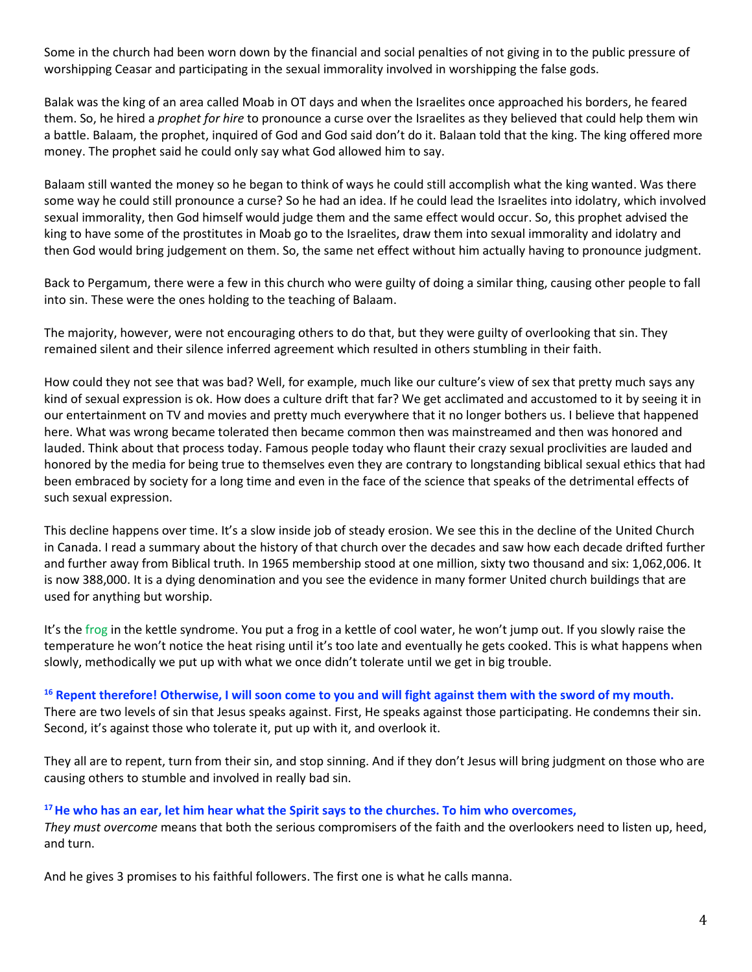Some in the church had been worn down by the financial and social penalties of not giving in to the public pressure of worshipping Ceasar and participating in the sexual immorality involved in worshipping the false gods.

Balak was the king of an area called Moab in OT days and when the Israelites once approached his borders, he feared them. So, he hired a *prophet for hire* to pronounce a curse over the Israelites as they believed that could help them win a battle. Balaam, the prophet, inquired of God and God said don't do it. Balaan told that the king. The king offered more money. The prophet said he could only say what God allowed him to say.

Balaam still wanted the money so he began to think of ways he could still accomplish what the king wanted. Was there some way he could still pronounce a curse? So he had an idea. If he could lead the Israelites into idolatry, which involved sexual immorality, then God himself would judge them and the same effect would occur. So, this prophet advised the king to have some of the prostitutes in Moab go to the Israelites, draw them into sexual immorality and idolatry and then God would bring judgement on them. So, the same net effect without him actually having to pronounce judgment.

Back to Pergamum, there were a few in this church who were guilty of doing a similar thing, causing other people to fall into sin. These were the ones holding to the teaching of Balaam.

The majority, however, were not encouraging others to do that, but they were guilty of overlooking that sin. They remained silent and their silence inferred agreement which resulted in others stumbling in their faith.

How could they not see that was bad? Well, for example, much like our culture's view of sex that pretty much says any kind of sexual expression is ok. How does a culture drift that far? We get acclimated and accustomed to it by seeing it in our entertainment on TV and movies and pretty much everywhere that it no longer bothers us. I believe that happened here. What was wrong became tolerated then became common then was mainstreamed and then was honored and lauded. Think about that process today. Famous people today who flaunt their crazy sexual proclivities are lauded and honored by the media for being true to themselves even they are contrary to longstanding biblical sexual ethics that had been embraced by society for a long time and even in the face of the science that speaks of the detrimental effects of such sexual expression.

This decline happens over time. It's a slow inside job of steady erosion. We see this in the decline of the United Church in Canada. I read a summary about the history of that church over the decades and saw how each decade drifted further and further away from Biblical truth. In 1965 membership stood at one million, sixty two thousand and six: 1,062,006. It is now 388,000. It is a dying denomination and you see the evidence in many former United church buildings that are used for anything but worship.

It's the frog in the kettle syndrome. You put a frog in a kettle of cool water, he won't jump out. If you slowly raise the temperature he won't notice the heat rising until it's too late and eventually he gets cooked. This is what happens when slowly, methodically we put up with what we once didn't tolerate until we get in big trouble.

#### **<sup>16</sup> Repent therefore! Otherwise, I will soon come to you and will fight against them with the sword of my mouth.**

There are two levels of sin that Jesus speaks against. First, He speaks against those participating. He condemns their sin. Second, it's against those who tolerate it, put up with it, and overlook it.

They all are to repent, turn from their sin, and stop sinning. And if they don't Jesus will bring judgment on those who are causing others to stumble and involved in really bad sin.

## **<sup>17</sup>He who has an ear, let him hear what the Spirit says to the churches. To him who overcomes,**

*They must overcome* means that both the serious compromisers of the faith and the overlookers need to listen up, heed, and turn.

And he gives 3 promises to his faithful followers. The first one is what he calls manna.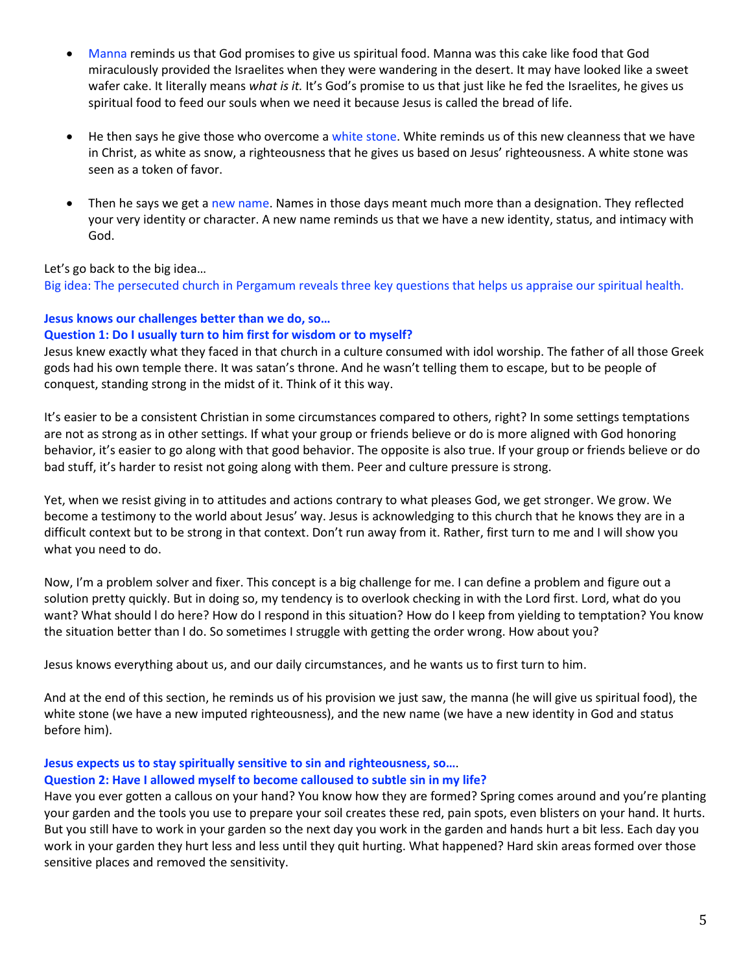- Manna reminds us that God promises to give us spiritual food. Manna was this cake like food that God miraculously provided the Israelites when they were wandering in the desert. It may have looked like a sweet wafer cake. It literally means *what is it.* It's God's promise to us that just like he fed the Israelites, he gives us spiritual food to feed our souls when we need it because Jesus is called the bread of life.
- He then says he give those who overcome a white stone. White reminds us of this new cleanness that we have in Christ, as white as snow, a righteousness that he gives us based on Jesus' righteousness. A white stone was seen as a token of favor.
- Then he says we get a new name. Names in those days meant much more than a designation. They reflected your very identity or character. A new name reminds us that we have a new identity, status, and intimacy with God.

Let's go back to the big idea…

Big idea: The persecuted church in Pergamum reveals three key questions that helps us appraise our spiritual health.

# **Jesus knows our challenges better than we do, so… Question 1: Do I usually turn to him first for wisdom or to myself?**

Jesus knew exactly what they faced in that church in a culture consumed with idol worship. The father of all those Greek gods had his own temple there. It was satan's throne. And he wasn't telling them to escape, but to be people of conquest, standing strong in the midst of it. Think of it this way.

It's easier to be a consistent Christian in some circumstances compared to others, right? In some settings temptations are not as strong as in other settings. If what your group or friends believe or do is more aligned with God honoring behavior, it's easier to go along with that good behavior. The opposite is also true. If your group or friends believe or do bad stuff, it's harder to resist not going along with them. Peer and culture pressure is strong.

Yet, when we resist giving in to attitudes and actions contrary to what pleases God, we get stronger. We grow. We become a testimony to the world about Jesus' way. Jesus is acknowledging to this church that he knows they are in a difficult context but to be strong in that context. Don't run away from it. Rather, first turn to me and I will show you what you need to do.

Now, I'm a problem solver and fixer. This concept is a big challenge for me. I can define a problem and figure out a solution pretty quickly. But in doing so, my tendency is to overlook checking in with the Lord first. Lord, what do you want? What should l do here? How do I respond in this situation? How do I keep from yielding to temptation? You know the situation better than I do. So sometimes I struggle with getting the order wrong. How about you?

Jesus knows everything about us, and our daily circumstances, and he wants us to first turn to him.

And at the end of this section, he reminds us of his provision we just saw, the manna (he will give us spiritual food), the white stone (we have a new imputed righteousness), and the new name (we have a new identity in God and status before him).

## **Jesus expects us to stay spiritually sensitive to sin and righteousness, so…**. **Question 2: Have I allowed myself to become calloused to subtle sin in my life?**

Have you ever gotten a callous on your hand? You know how they are formed? Spring comes around and you're planting your garden and the tools you use to prepare your soil creates these red, pain spots, even blisters on your hand. It hurts. But you still have to work in your garden so the next day you work in the garden and hands hurt a bit less. Each day you work in your garden they hurt less and less until they quit hurting. What happened? Hard skin areas formed over those sensitive places and removed the sensitivity.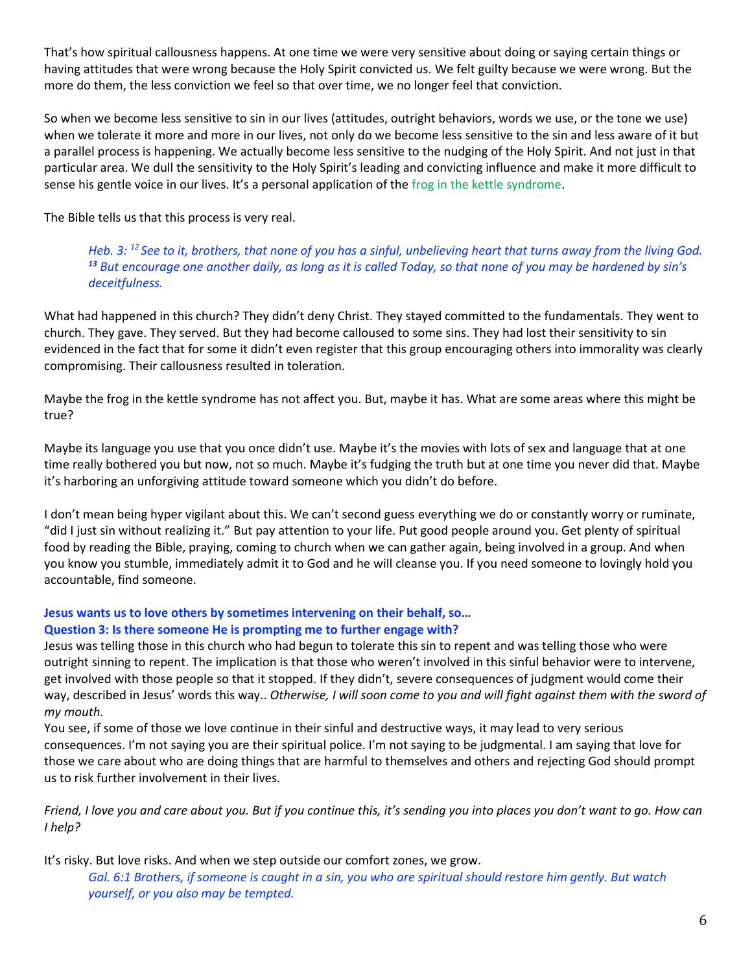That's how spiritual callousness happens. At one time we were very sensitive about doing or saying certain things or having attitudes that were wrong because the Holy Spirit convicted us. We felt guilty because we were wrong. But the more do them, the less conviction we feel so that over time, we no longer feel that conviction.

So when we become less sensitive to sin in our lives (attitudes, outright behaviors, words we use, or the tone we use) when we tolerate it more and more in our lives, not only do we become less sensitive to the sin and less aware of it but a parallel process is happening. We actually become less sensitive to the nudging of the Holy Spirit. And not just in that particular area. We dull the sensitivity to the Holy Spirit's leading and convicting influence and make it more difficult to sense his gentle voice in our lives. It's a personal application of the frog in the kettle syndrome.

The Bible tells us that this process is very real.

*Heb. 3: <sup>12</sup>See to it, brothers, that none of you has a sinful, unbelieving heart that turns away from the living God. <sup>13</sup> But encourage one another daily, as long as it is called Today, so that none of you may be hardened by sin's deceitfulness.*

What had happened in this church? They didn't deny Christ. They stayed committed to the fundamentals. They went to church. They gave. They served. But they had become calloused to some sins. They had lost their sensitivity to sin evidenced in the fact that for some it didn't even register that this group encouraging others into immorality was clearly compromising. Their callousness resulted in toleration.

Maybe the frog in the kettle syndrome has not affect you. But, maybe it has. What are some areas where this might be true?

Maybe its language you use that you once didn't use. Maybe it's the movies with lots of sex and language that at one time really bothered you but now, not so much. Maybe it's fudging the truth but at one time you never did that. Maybe it's harboring an unforgiving attitude toward someone which you didn't do before.

I don't mean being hyper vigilant about this. We can't second guess everything we do or constantly worry or ruminate, "did I just sin without realizing it." But pay attention to your life. Put good people around you. Get plenty of spiritual food by reading the Bible, praying, coming to church when we can gather again, being involved in a group. And when you know you stumble, immediately admit it to God and he will cleanse you. If you need someone to lovingly hold you accountable, find someone.

#### **Jesus wants us to love others by sometimes intervening on their behalf, so… Question 3: Is there someone He is prompting me to further engage with?**

Jesus was telling those in this church who had begun to tolerate this sin to repent and was telling those who were outright sinning to repent. The implication is that those who weren't involved in this sinful behavior were to intervene, get involved with those people so that it stopped. If they didn't, severe consequences of judgment would come their way, described in Jesus' words this way.. *Otherwise, I will soon come to you and will fight against them with the sword of my mouth.*

You see, if some of those we love continue in their sinful and destructive ways, it may lead to very serious consequences. I'm not saying you are their spiritual police. I'm not saying to be judgmental. I am saying that love for those we care about who are doing things that are harmful to themselves and others and rejecting God should prompt us to risk further involvement in their lives.

*Friend, I love you and care about you. But if you continue this, it's sending you into places you don't want to go. How can I help?*

It's risky. But love risks. And when we step outside our comfort zones, we grow.

*Gal. 6:1 Brothers, if someone is caught in a sin, you who are spiritual should restore him gently. But watch yourself, or you also may be tempted.*